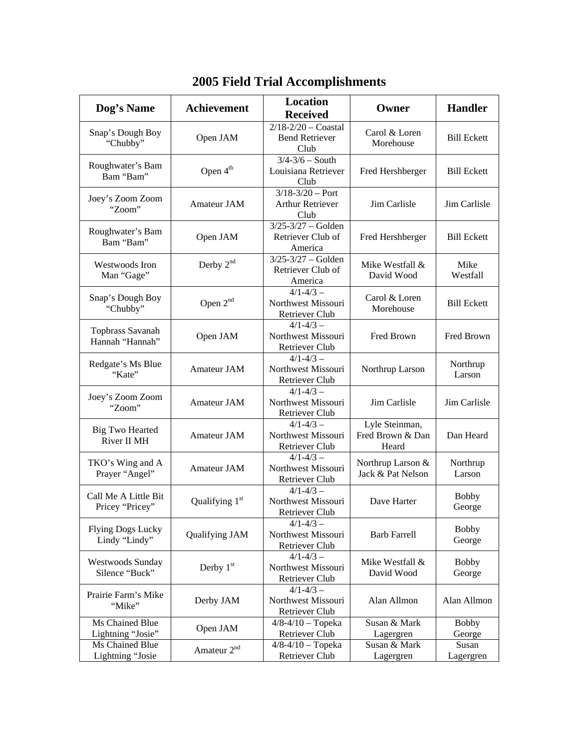| Dog's Name                                | <b>Achievement</b>      | <b>Location</b><br><b>Received</b>                           | Owner                                       | <b>Handler</b>         |
|-------------------------------------------|-------------------------|--------------------------------------------------------------|---------------------------------------------|------------------------|
| Snap's Dough Boy<br>"Chubby"              | Open JAM                | $2/18 - 2/20 -$ Coastal<br><b>Bend Retriever</b><br>Club     | Carol & Loren<br>Morehouse                  | <b>Bill Eckett</b>     |
| Roughwater's Bam<br>Bam "Bam"             | Open 4 <sup>th</sup>    | $3/4 - 3/6 -$ South<br>Louisiana Retriever<br>Club           | Fred Hershberger                            | <b>Bill Eckett</b>     |
| Joey's Zoom Zoom<br>"Zoom"                | Amateur JAM             | $3/18 - 3/20 -$ Port<br><b>Arthur Retriever</b><br>Club      | Jim Carlisle                                | Jim Carlisle           |
| Roughwater's Bam<br>Bam "Bam"             | Open JAM                | $3/25 - 3/27 -$ Golden<br>Retriever Club of<br>America       | Fred Hershberger                            | <b>Bill Eckett</b>     |
| Westwoods Iron<br>Man "Gage"              | Derby $2nd$             | $3/25 - 3/27 -$ Golden<br>Retriever Club of<br>America       | Mike Westfall &<br>David Wood               | Mike<br>Westfall       |
| Snap's Dough Boy<br>"Chubby"              | Open 2 <sup>nd</sup>    | $4/1 - 4/3 -$<br>Northwest Missouri<br>Retriever Club        | Carol & Loren<br>Morehouse                  | <b>Bill Eckett</b>     |
| Topbrass Savanah<br>Hannah "Hannah"       | Open JAM                | $4/1 - 4/3 -$<br>Northwest Missouri<br>Retriever Club        | Fred Brown                                  | Fred Brown             |
| Redgate's Ms Blue<br>"Kate"               | <b>Amateur JAM</b>      | $4/1 - 4/3 -$<br>Northwest Missouri<br>Retriever Club        | Northrup Larson                             | Northrup<br>Larson     |
| Joey's Zoom Zoom<br>"Zoom"                | Amateur JAM             | $4/1 - 4/3 -$<br>Northwest Missouri<br>Retriever Club        | Jim Carlisle                                | Jim Carlisle           |
| <b>Big Two Hearted</b><br>River II MH     | Amateur JAM             | $4/1 - 4/3 -$<br>Northwest Missouri<br>Retriever Club        | Lyle Steinman,<br>Fred Brown & Dan<br>Heard | Dan Heard              |
| TKO's Wing and A<br>Prayer "Angel"        | Amateur JAM             | $4/1 - 4/3 -$<br>Northwest Missouri<br>Retriever Club        | Northrup Larson &<br>Jack & Pat Nelson      | Northrup<br>Larson     |
| Call Me A Little Bit<br>Pricey "Pricey"   | Qualifying $1st$        | $4/1 - 4/3 -$<br>Northwest Missouri<br>Retriever Club        | Dave Harter                                 | <b>Bobby</b><br>George |
| <b>Flying Dogs Lucky</b><br>Lindy "Lindy" | Qualifying JAM          | $4/1 - 4/3 -$<br>Northwest Missouri<br>Retriever Club        | <b>Barb Farrell</b>                         | <b>Bobby</b><br>George |
| Westwoods Sunday<br>Silence "Buck"        | Derby $1st$             | $4/1 - 4/3 -$<br>Northwest Missouri<br>Retriever Club        | Mike Westfall &<br>David Wood               | <b>Bobby</b><br>George |
| Prairie Farm's Mike<br>"Mike"             | Derby JAM               | $4/1 - 4/3 -$<br>Northwest Missouri<br><b>Retriever Club</b> | Alan Allmon                                 | Alan Allmon            |
| Ms Chained Blue<br>Lightning "Josie"      | Open JAM                | $4/8 - 4/10 - Topeka$<br>Retriever Club                      | Susan & Mark<br>Lagergren                   | <b>Bobby</b><br>George |
| Ms Chained Blue<br>Lightning "Josie       | Amateur 2 <sup>nd</sup> | $4/8 - 4/10 - Topeka$<br>Retriever Club                      | Susan & Mark<br>Lagergren                   | Susan<br>Lagergren     |

## **2005 Field Trial Accomplishments**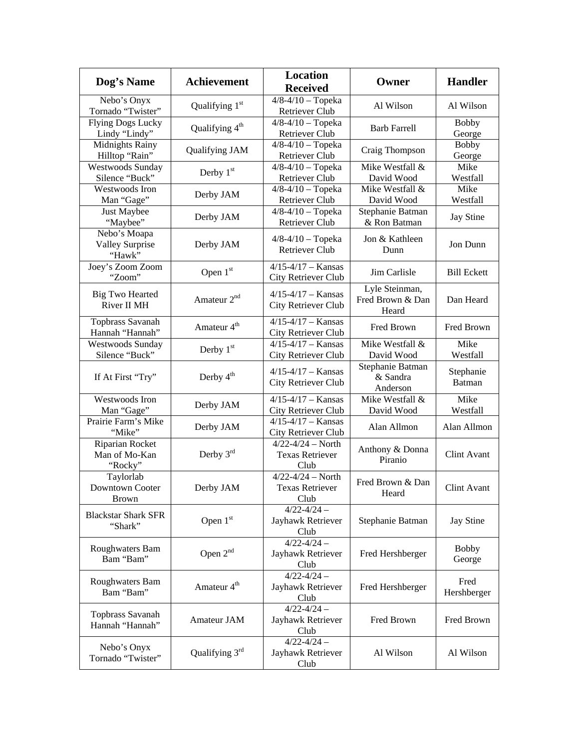| Dog's Name                                       | <b>Achievement</b>         | <b>Location</b><br><b>Received</b>                      | Owner                                       | <b>Handler</b>             |
|--------------------------------------------------|----------------------------|---------------------------------------------------------|---------------------------------------------|----------------------------|
| Nebo's Onyx<br>Tornado "Twister"                 | Qualifying 1st             | $4/8 - 4/10 - Topeka$<br>Retriever Club                 | Al Wilson                                   | Al Wilson                  |
| <b>Flying Dogs Lucky</b><br>Lindy "Lindy"        | Qualifying 4 <sup>th</sup> | $4/8 - 4/10 - Topeka$<br>Retriever Club                 | <b>Barb Farrell</b>                         | <b>Bobby</b><br>George     |
| Midnights Rainy<br>Hilltop "Rain"                | Qualifying JAM             | $4/8 - 4/10 - Topeka$<br>Retriever Club                 | Craig Thompson                              | <b>Bobby</b><br>George     |
| <b>Westwoods Sunday</b><br>Silence "Buck"        | Derby $1st$                | $4/8 - 4/10 - Topeka$<br>Retriever Club                 | Mike Westfall &<br>David Wood               | Mike<br>Westfall           |
| Westwoods Iron<br>Man "Gage"                     | Derby JAM                  | $4/8 - 4/10 - Topeka$<br>Retriever Club                 | Mike Westfall &<br>David Wood               | Mike<br>Westfall           |
| Just Maybee<br>"Maybee"                          | Derby JAM                  | $4/8 - 4/10 - Topeka$<br>Retriever Club                 | Stephanie Batman<br>& Ron Batman            | Jay Stine                  |
| Nebo's Moapa<br><b>Valley Surprise</b><br>"Hawk" | Derby JAM                  | $4/8 - 4/10 - Topeka$<br><b>Retriever Club</b>          | Jon & Kathleen<br>Dunn                      | Jon Dunn                   |
| Joey's Zoom Zoom<br>"Zoom"                       | Open $1st$                 | $4/15 - 4/17 -$ Kansas<br>City Retriever Club           | Jim Carlisle                                | <b>Bill Eckett</b>         |
| <b>Big Two Hearted</b><br>River II MH            | Amateur 2 <sup>nd</sup>    | $4/15 - 4/17 -$ Kansas<br>City Retriever Club           | Lyle Steinman,<br>Fred Brown & Dan<br>Heard | Dan Heard                  |
| Topbrass Savanah<br>Hannah "Hannah"              | Amateur 4 <sup>th</sup>    | $4/15 - 4/17 -$ Kansas<br>City Retriever Club           | Fred Brown                                  | Fred Brown                 |
| <b>Westwoods Sunday</b><br>Silence "Buck"        | Derby $1st$                | $4/15 - 4/17 -$ Kansas<br>City Retriever Club           | Mike Westfall &<br>David Wood               | Mike<br>Westfall           |
| If At First "Try"                                | Derby 4 <sup>th</sup>      | $4/15 - 4/17 -$ Kansas<br>City Retriever Club           | Stephanie Batman<br>& Sandra<br>Anderson    | Stephanie<br><b>Batman</b> |
| Westwoods Iron<br>Man "Gage"                     | Derby JAM                  | $4/15 - 4/17 -$ Kansas<br>City Retriever Club           | Mike Westfall &<br>David Wood               | Mike<br>Westfall           |
| Prairie Farm's Mike<br>"Mike"                    | Derby JAM                  | $4/15 - 4/17 -$ Kansas<br>City Retriever Club           | Alan Allmon                                 | Alan Allmon                |
| Riparian Rocket<br>Man of Mo-Kan<br>"Rocky"      | Derby 3rd                  | $4/22 - 4/24 - North$<br><b>Texas Retriever</b><br>Club | Anthony & Donna<br>Piranio                  | Clint Avant                |
| Taylorlab<br>Downtown Cooter<br><b>Brown</b>     | Derby JAM                  | $4/22 - 4/24 - North$<br><b>Texas Retriever</b><br>Club | Fred Brown & Dan<br>Heard                   | Clint Avant                |
| <b>Blackstar Shark SFR</b><br>"Shark"            | Open 1st                   | $4/22 - 4/24 -$<br>Jayhawk Retriever<br>Club            | Stephanie Batman                            | Jay Stine                  |
| Roughwaters Bam<br>Bam "Bam"                     | Open 2 <sup>nd</sup>       | $4/22 - 4/24 -$<br>Jayhawk Retriever<br>Club            | Fred Hershberger                            | <b>Bobby</b><br>George     |
| Roughwaters Bam<br>Bam "Bam"                     | Amateur 4 <sup>th</sup>    | $4/22 - 4/24 -$<br>Jayhawk Retriever<br>Club            | Fred Hershberger                            | Fred<br>Hershberger        |
| Topbrass Savanah<br>Hannah "Hannah"              | Amateur JAM                | $4/22 - 4/24 -$<br>Jayhawk Retriever<br>Club            | Fred Brown                                  | Fred Brown                 |
| Nebo's Onyx<br>Tornado "Twister"                 | Qualifying $3rd$           | $4/22 - 4/24 -$<br>Jayhawk Retriever<br>Club            | Al Wilson                                   | Al Wilson                  |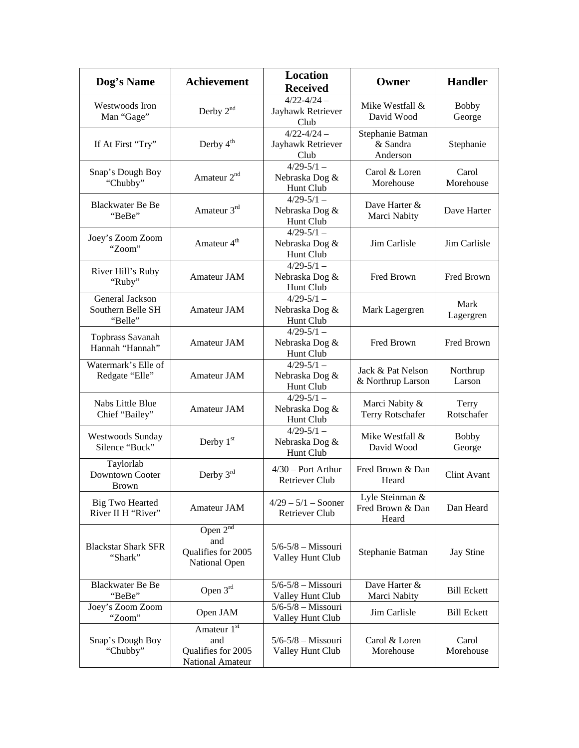| Dog's Name                                      | <b>Achievement</b>                                           | Location<br><b>Received</b>                   | Owner                                        | <b>Handler</b>         |
|-------------------------------------------------|--------------------------------------------------------------|-----------------------------------------------|----------------------------------------------|------------------------|
| Westwoods Iron<br>Man "Gage"                    | Derby $2^{nd}$                                               | $4/22 - 4/24 -$<br>Jayhawk Retriever<br>Club  | Mike Westfall &<br>David Wood                | <b>Bobby</b><br>George |
| If At First "Try"                               | Derby $4th$                                                  | $4/22 - 4/24 -$<br>Jayhawk Retriever<br>Club  | Stephanie Batman<br>& Sandra<br>Anderson     | Stephanie              |
| Snap's Dough Boy<br>"Chubby"                    | Amateur 2 <sup>nd</sup>                                      | $4/29 - 5/1 -$<br>Nebraska Dog &<br>Hunt Club | Carol & Loren<br>Morehouse                   | Carol<br>Morehouse     |
| <b>Blackwater Be Be</b><br>"BeBe"               | Amateur 3rd                                                  | $4/29 - 5/1 -$<br>Nebraska Dog &<br>Hunt Club | Dave Harter &<br>Marci Nabity                | Dave Harter            |
| Joey's Zoom Zoom<br>"Zoom"                      | Amateur 4 <sup>th</sup>                                      | $4/29 - 5/1 -$<br>Nebraska Dog &<br>Hunt Club | Jim Carlisle                                 | Jim Carlisle           |
| River Hill's Ruby<br>"Ruby"                     | Amateur JAM                                                  | $4/29 - 5/1 -$<br>Nebraska Dog &<br>Hunt Club | Fred Brown                                   | Fred Brown             |
| General Jackson<br>Southern Belle SH<br>"Belle" | <b>Amateur JAM</b>                                           | $4/29 - 5/1 -$<br>Nebraska Dog &<br>Hunt Club | Mark Lagergren                               | Mark<br>Lagergren      |
| Topbrass Savanah<br>Hannah "Hannah"             | Amateur JAM                                                  | $4/29 - 5/1 -$<br>Nebraska Dog &<br>Hunt Club | Fred Brown                                   | Fred Brown             |
| Watermark's Elle of<br>Redgate "Elle"           | <b>Amateur JAM</b>                                           | $4/29 - 5/1 -$<br>Nebraska Dog &<br>Hunt Club | Jack & Pat Nelson<br>& Northrup Larson       | Northrup<br>Larson     |
| Nabs Little Blue<br>Chief "Bailey"              | Amateur JAM                                                  | $4/29 - 5/1 -$<br>Nebraska Dog &<br>Hunt Club | Marci Nabity &<br>Terry Rotschafer           | Terry<br>Rotschafer    |
| <b>Westwoods Sunday</b><br>Silence "Buck"       | Derby 1 <sup>st</sup>                                        | $4/29 - 5/1 -$<br>Nebraska Dog &<br>Hunt Club | Mike Westfall &<br>David Wood                | <b>Bobby</b><br>George |
| Taylorlab<br>Downtown Cooter<br>Brown           | Derby $3^{rd}$                                               | $4/30$ – Port Arthur<br><b>Retriever Club</b> | Fred Brown & Dan<br>Heard                    | Clint Avant            |
| <b>Big Two Hearted</b><br>River II H "River"    | Amateur JAM                                                  | $4/29 - 5/1 -$ Sooner<br>Retriever Club       | Lyle Steinman &<br>Fred Brown & Dan<br>Heard | Dan Heard              |
| <b>Blackstar Shark SFR</b><br>"Shark"           | Open $2^{nd}$<br>and<br>Qualifies for 2005<br>National Open  | $5/6 - 5/8 - Missouri$<br>Valley Hunt Club    | Stephanie Batman                             | <b>Jay Stine</b>       |
| <b>Blackwater Be Be</b><br>"BeBe"               | Open $3rd$                                                   | $5/6 - 5/8 -$ Missouri<br>Valley Hunt Club    | Dave Harter &<br>Marci Nabity                | <b>Bill Eckett</b>     |
| Joey's Zoom Zoom<br>"Zoom"                      | Open JAM                                                     | $5/6 - 5/8 -$ Missouri<br>Valley Hunt Club    | Jim Carlisle                                 | <b>Bill Eckett</b>     |
| Snap's Dough Boy<br>"Chubby"                    | Amateur 1st<br>and<br>Qualifies for 2005<br>National Amateur | $5/6 - 5/8 -$ Missouri<br>Valley Hunt Club    | Carol & Loren<br>Morehouse                   | Carol<br>Morehouse     |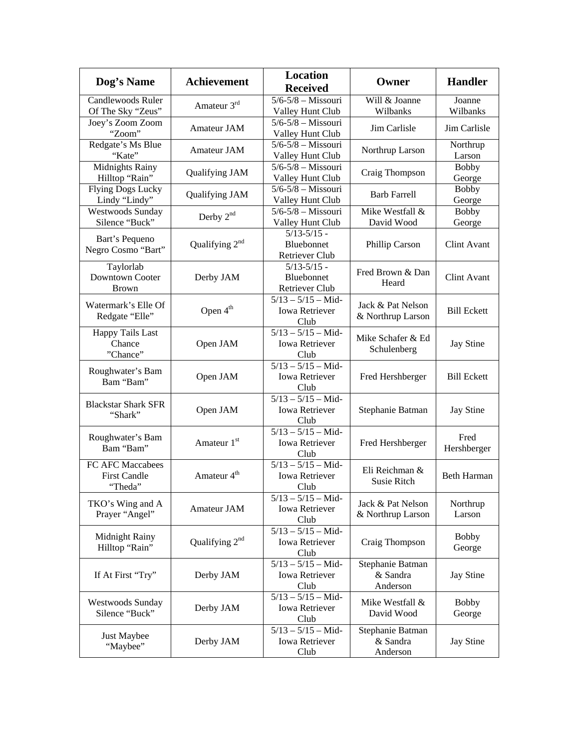| Dog's Name                                          | <b>Achievement</b>         | <b>Location</b><br><b>Received</b>                                          | Owner                                    | <b>Handler</b>         |
|-----------------------------------------------------|----------------------------|-----------------------------------------------------------------------------|------------------------------------------|------------------------|
| <b>Candlewoods Ruler</b><br>Of The Sky "Zeus"       | Amateur 3rd                | $5/6 - 5/8 - Missouri$<br>Valley Hunt Club                                  | Will & Joanne<br>Wilbanks                | Joanne<br>Wilbanks     |
| Joey's Zoom Zoom<br>"Zoom"                          | Amateur JAM                | $5/6 - 5/8 -$ Missouri<br>Valley Hunt Club                                  | Jim Carlisle                             | Jim Carlisle           |
| Redgate's Ms Blue<br>"Kate"                         | <b>Amateur JAM</b>         | $5/6 - 5/8 -$ Missouri<br>Valley Hunt Club                                  | Northrup Larson                          | Northrup<br>Larson     |
| Midnights Rainy<br>Hilltop "Rain"                   | Qualifying JAM             | $5/6 - 5/8 - Missouri$<br>Valley Hunt Club                                  | Craig Thompson                           | <b>Bobby</b><br>George |
| <b>Flying Dogs Lucky</b><br>Lindy "Lindy"           | Qualifying JAM             | $5/6 - 5/8 -$ Missouri<br>Valley Hunt Club                                  | <b>Barb Farrell</b>                      | <b>Bobby</b><br>George |
| <b>Westwoods Sunday</b><br>Silence "Buck"           | Derby $2nd$                | $5/6 - 5/8 - Missouri$<br>Valley Hunt Club                                  | Mike Westfall &<br>David Wood            | <b>Bobby</b><br>George |
| Bart's Pequeno<br>Negro Cosmo "Bart"                | Qualifying $2^{nd}$        | $5/13 - 5/15$ -<br>Bluebonnet<br>Retriever Club                             | Phillip Carson                           | Clint Avant            |
| Taylorlab<br><b>Downtown Cooter</b><br><b>Brown</b> | Derby JAM                  | $5/13 - 5/15$ -<br>Bluebonnet<br>Retriever Club                             | Fred Brown & Dan<br>Heard                | Clint Avant            |
| Watermark's Elle Of<br>Redgate "Elle"               | Open $4th$                 | $5/13 - 5/15 - Mid$<br><b>Iowa Retriever</b><br>Club                        | Jack & Pat Nelson<br>& Northrup Larson   | <b>Bill Eckett</b>     |
| <b>Happy Tails Last</b><br>Chance<br>"Chance"       | Open JAM                   | $\frac{5}{13} - \frac{5}{15} - \text{Mid}$<br><b>Iowa Retriever</b><br>Club | Mike Schafer & Ed<br>Schulenberg         | <b>Jay Stine</b>       |
| Roughwater's Bam<br>Bam "Bam"                       | Open JAM                   | $5/13 - 5/15 - Mid$<br><b>Iowa Retriever</b><br>Club                        | Fred Hershberger                         | <b>Bill Eckett</b>     |
| <b>Blackstar Shark SFR</b><br>"Shark"               | Open JAM                   | $5/13 - 5/15 - Mid$<br><b>Iowa Retriever</b><br>Club                        | Stephanie Batman                         | <b>Jay Stine</b>       |
| Roughwater's Bam<br>Bam "Bam"                       | Amateur 1st                | $5/13 - 5/15 - Mid$<br><b>Iowa Retriever</b><br>Club                        | Fred Hershberger                         | Fred<br>Hershberger    |
| FC AFC Maccabees<br><b>First Candle</b><br>"Theda"  | Amateur 4 <sup>th</sup>    | $\frac{5}{13} - \frac{5}{15} -$ Mid-<br><b>Iowa Retriever</b><br>Club       | Eli Reichman &<br><b>Susie Ritch</b>     | <b>Beth Harman</b>     |
| TKO's Wing and A<br>Prayer "Angel"                  | Amateur JAM                | $5/13 - 5/15 - Mid$<br><b>Iowa Retriever</b><br>Club                        | Jack & Pat Nelson<br>& Northrup Larson   | Northrup<br>Larson     |
| Midnight Rainy<br>Hilltop "Rain"                    | Qualifying 2 <sup>nd</sup> | $5/13 - 5/15 - Mid$<br><b>Iowa Retriever</b><br>Club                        | Craig Thompson                           | <b>Bobby</b><br>George |
| If At First "Try"                                   | Derby JAM                  | $5/13 - 5/15 - Mid$<br><b>Iowa Retriever</b><br>Club                        | Stephanie Batman<br>& Sandra<br>Anderson | Jay Stine              |
| <b>Westwoods Sunday</b><br>Silence "Buck"           | Derby JAM                  | $5/13 - 5/15 - Mid$<br><b>Iowa Retriever</b><br>Club                        | Mike Westfall &<br>David Wood            | <b>Bobby</b><br>George |
| Just Maybee<br>"Maybee"                             | Derby JAM                  | $\overline{5/13 - 5/15}$ - Mid-<br><b>Iowa Retriever</b><br>Club            | Stephanie Batman<br>& Sandra<br>Anderson | <b>Jay Stine</b>       |